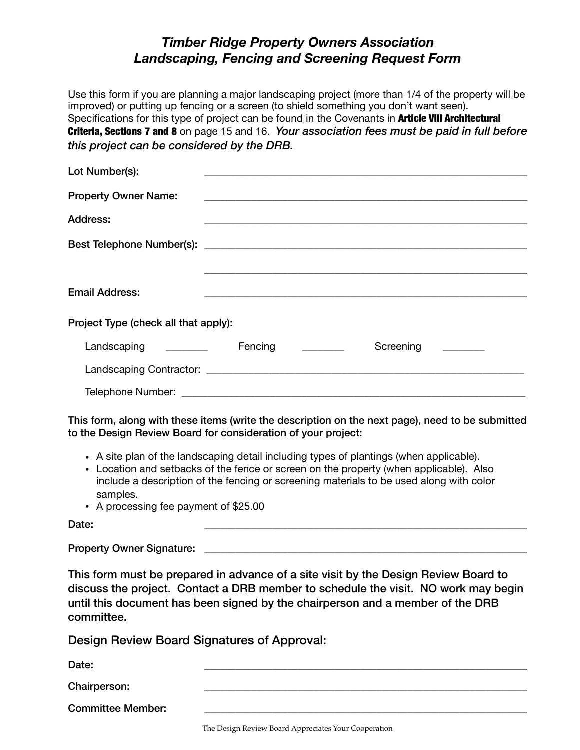## *Timber Ridge Property Owners Association Landscaping, Fencing and Screening Request Form*

Use this form if you are planning a major landscaping project (more than 1/4 of the property will be improved) or putting up fencing or a screen (to shield something you don't want seen). Specifications for this type of project can be found in the Covenants in **Article VIII Architectural** Criteria, Sections 7 and 8 on page 15 and 16. *Your association fees must be paid in full before this project can be considered by the DRB.*

| Lot Number(s):                                       |         |           |  |
|------------------------------------------------------|---------|-----------|--|
| <b>Property Owner Name:</b>                          |         |           |  |
| <b>Address:</b>                                      |         |           |  |
|                                                      |         |           |  |
|                                                      |         |           |  |
| <b>Email Address:</b>                                |         |           |  |
| Project Type (check all that apply):                 |         |           |  |
| Landscaping<br><u> 1990 - Jan Barbara III, martx</u> | Fencing | Screening |  |
|                                                      |         |           |  |
|                                                      |         |           |  |

This form, along with these items (write the description on the next page), need to be submitted to the Design Review Board for consideration of your project:

- A site plan of the landscaping detail including types of plantings (when applicable).
- Location and setbacks of the fence or screen on the property (when applicable). Also include a description of the fencing or screening materials to be used along with color samples.
- A processing fee payment of \$25.00

Date: \_\_\_\_\_\_\_\_\_\_\_\_\_\_\_\_\_\_\_\_\_\_\_\_\_\_\_\_\_\_\_\_\_\_\_\_\_\_\_\_\_\_\_\_\_\_\_\_\_\_\_\_\_\_\_\_\_\_\_\_\_\_

Property Owner Signature:

This form must be prepared in advance of a site visit by the Design Review Board to discuss the project. Contact a DRB member to schedule the visit. NO work may begin until this document has been signed by the chairperson and a member of the DRB committee.

Design Review Board Signatures of Approval:

Date: \_\_\_\_\_\_\_\_\_\_\_\_\_\_\_\_\_\_\_\_\_\_\_\_\_\_\_\_\_\_\_\_\_\_\_\_\_\_\_\_\_\_\_\_\_\_\_\_\_\_\_\_\_\_\_\_\_\_\_\_\_\_

Chairperson:

Committee Member:

The Design Review Board Appreciates Your Cooperation